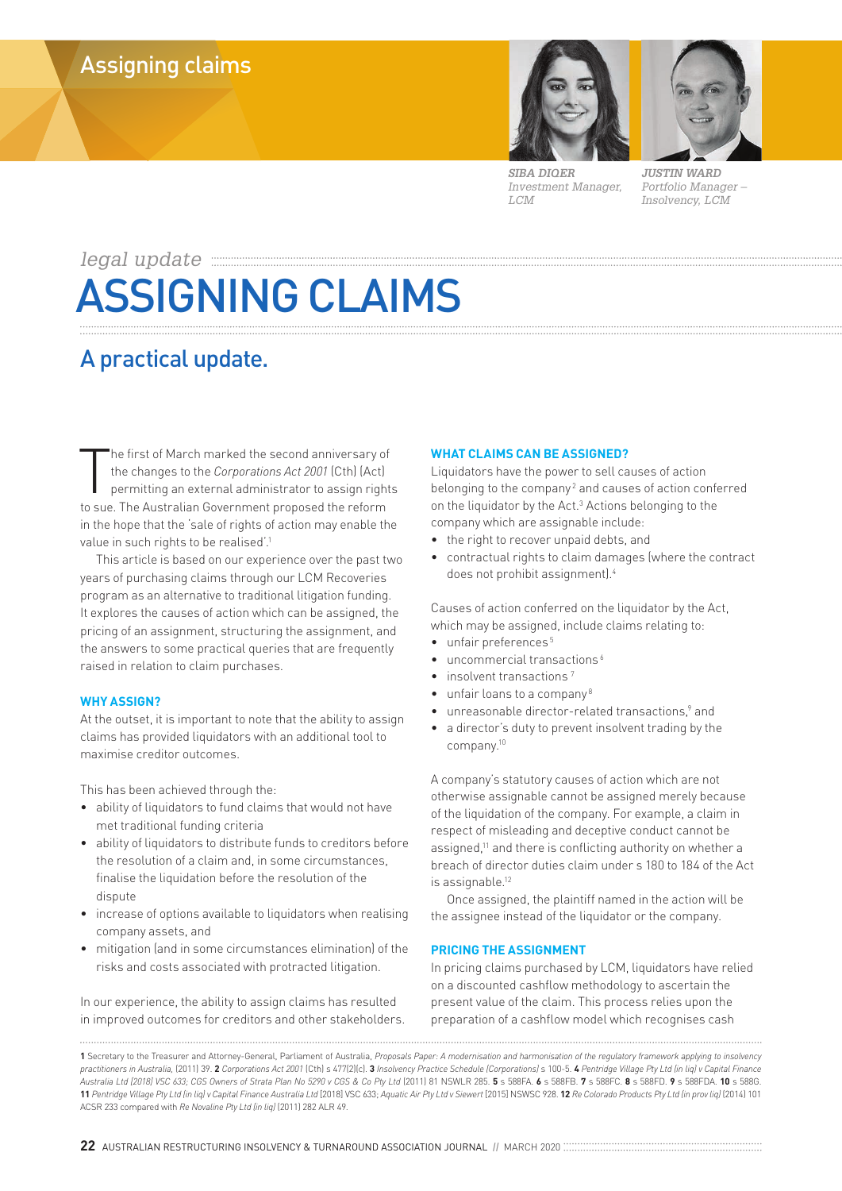

*SIBA DIQER Investment Manager, LCM*

*JUSTIN WARD Portfolio Manager – Insolvency, LCM*

# *legal update* ASSIGNING CLAIMS

## A practical update.

The first of March marked the second anniversary of<br>the changes to the *Corporations Act 2001* (Cth) (Act)<br>permitting an external administrator to assign right<br>to sue. The Australian Government proposed the reform he first of March marked the second anniversary of the changes to the *Corporations Act 2001* (Cth) (Act) permitting an external administrator to assign rights in the hope that the 'sale of rights of action may enable the value in such rights to be realised<sup>'.1</sup>

This article is based on our experience over the past two years of purchasing claims through our LCM Recoveries program as an alternative to traditional litigation funding. It explores the causes of action which can be assigned, the pricing of an assignment, structuring the assignment, and the answers to some practical queries that are frequently raised in relation to claim purchases.

### **WHY ASSIGN?**

At the outset, it is important to note that the ability to assign claims has provided liquidators with an additional tool to maximise creditor outcomes.

This has been achieved through the:

- ability of liquidators to fund claims that would not have met traditional funding criteria
- ability of liquidators to distribute funds to creditors before the resolution of a claim and, in some circumstances, finalise the liquidation before the resolution of the dispute
- increase of options available to liquidators when realising company assets, and
- mitigation (and in some circumstances elimination) of the risks and costs associated with protracted litigation.

In our experience, the ability to assign claims has resulted in improved outcomes for creditors and other stakeholders.

#### **WHAT CLAIMS CAN BE ASSIGNED?**

Liquidators have the power to sell causes of action belonging to the company<sup>2</sup> and causes of action conferred on the liquidator by the Act.<sup>3</sup> Actions belonging to the company which are assignable include:

- the right to recover unpaid debts, and
- contractual rights to claim damages (where the contract does not prohibit assignment).4

Causes of action conferred on the liquidator by the Act, which may be assigned, include claims relating to:

- unfair preferences<sup>5</sup>
- uncommercial transactions<sup>6</sup>
- insolvent transactions
- unfair loans to a company<sup>8</sup>
- unreasonable director-related transactions,<sup>9</sup> and
- a director's duty to prevent insolvent trading by the company.10

A company's statutory causes of action which are not otherwise assignable cannot be assigned merely because of the liquidation of the company. For example, a claim in respect of misleading and deceptive conduct cannot be assigned,<sup>11</sup> and there is conflicting authority on whether a breach of director duties claim under s 180 to 184 of the Act is assignable.<sup>12</sup>

Once assigned, the plaintiff named in the action will be the assignee instead of the liquidator or the company.

#### **PRICING THE ASSIGNMENT**

In pricing claims purchased by LCM, liquidators have relied on a discounted cashflow methodology to ascertain the present value of the claim. This process relies upon the preparation of a cashflow model which recognises cash

**<sup>1</sup>** Secretary to the Treasurer and Attorney-General, Parliament of Australia, *Proposals Paper: A modernisation and harmonisation of the regulatory framework applying to insolvency*  practitioners in Australia, [2011] 39, 2 Corporations Act 2001 [Cth] s 477[2][c], 3 Insolvency Practice Schedule [Corporations] s 100-5, 4 Pentridge Village Pty Ltd (in light Capital Finance *Australia Ltd [2018] VSC 633; CGS Owners of Strata Plan No 5290 v CGS & Co Pty Ltd* (2011) 81 NSWLR 285. **5** s 588FA. **6** s 588FB. **7** s 588FC. **8** s 588FD. **9** s 588FDA. **10** s 588G. 11 Pentridge Village Pty Ltd (in lig) v Capital Finance Australia Ltd [2018] VSC 633; Aquatic Air Pty Ltd v Siewert [2015] NSWSC 928. 12 Re Colorado Products Pty Ltd (in prov lig) [2014] 101 ACSR 233 compared with *Re Novaline Pty Ltd (in liq)* (2011) 282 ALR 49.